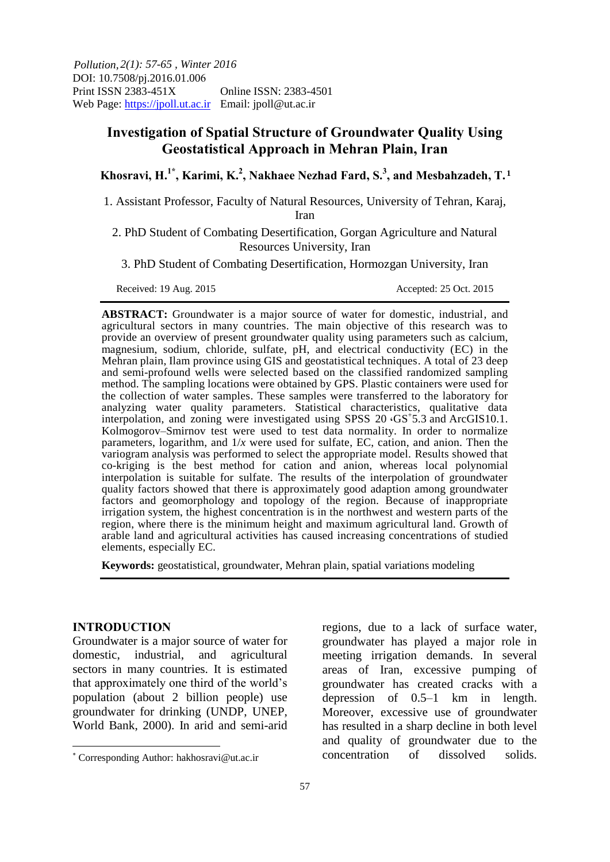*2(1): 57-65 , Winter 2016 Pollution,*  DOI: 10.7508/pj.2016.01.006<br>Print ISSN 2383-451X Online ISSN: 2383-4501 Web Page: https://jpoll.ut.ac.ir Email: jpoll@ut.ac.ir

# **Investigation of Spatial Structure of Groundwater Quality Using Geostatistical Approach in Mehran Plain, Iran**

**Khosravi, H.1\* , Karimi, K.<sup>2</sup> , Nakhaee Nezhad Fard, S.<sup>3</sup> , and Mesbahzadeh, T. 1** 

1. Assistant Professor, Faculty of Natural Resources, University of Tehran, Karaj,

Iran

2. PhD Student of Combating Desertification, Gorgan Agriculture and Natural Resources University, Iran

3. PhD Student of Combating Desertification, Hormozgan University, Iran

Received: 19 Aug. 2015 **Accepted: 25 Oct. 2015** 

**ABSTRACT:** Groundwater is a major source of water for domestic, industrial, and agricultural sectors in many countries. The main objective of this research was to provide an overview of present groundwater quality using parameters such as calcium, magnesium, sodium, chloride, sulfate, pH, and electrical conductivity (EC) in the Mehran plain, Ilam province using GIS and geostatistical techniques. A total of 23 deep and semi-profound wells were selected based on the classified randomized sampling method. The sampling locations were obtained by GPS. Plastic containers were used for the collection of water samples. These samples were transferred to the laboratory for analyzing water quality parameters. Statistical characteristics, qualitative data interpolation, and zoning were investigated using SPSS 20  $\cdot$ GS<sup>+5</sup>.3 and ArcGIS10.1. Kolmogorov–Smirnov test were used to test data normality. In order to normalize parameters, logarithm, and 1/*x* were used for sulfate, EC, cation, and anion. Then the variogram analysis was performed to select the appropriate model. Results showed that co-kriging is the best method for cation and anion, whereas local polynomial interpolation is suitable for sulfate. The results of the interpolation of groundwater quality factors showed that there is approximately good adaption among groundwater factors and geomorphology and topology of the region. Because of inappropriate irrigation system, the highest concentration is in the northwest and western parts of the region, where there is the minimum height and maximum agricultural land. Growth of arable land and agricultural activities has caused increasing concentrations of studied elements, especially EC.

**Keywords:** geostatistical, groundwater, Mehran plain, spatial variations modeling

#### **INTRODUCTION**

 $\overline{a}$ 

Groundwater is a major source of water for domestic, industrial, and agricultural sectors in many countries. It is estimated that approximately one third of the world's population (about 2 billion people) use groundwater for drinking (UNDP, UNEP, World Bank, 2000). In arid and semi-arid regions, due to a lack of surface water, groundwater has played a major role in meeting irrigation demands. In several areas of Iran, excessive pumping of groundwater has created cracks with a depression of 0.5–1 km in length. Moreover, excessive use of groundwater has resulted in a sharp decline in both level and quality of groundwater due to the concentration of dissolved solids.

Corresponding Author: hakhosravi@ut.ac.ir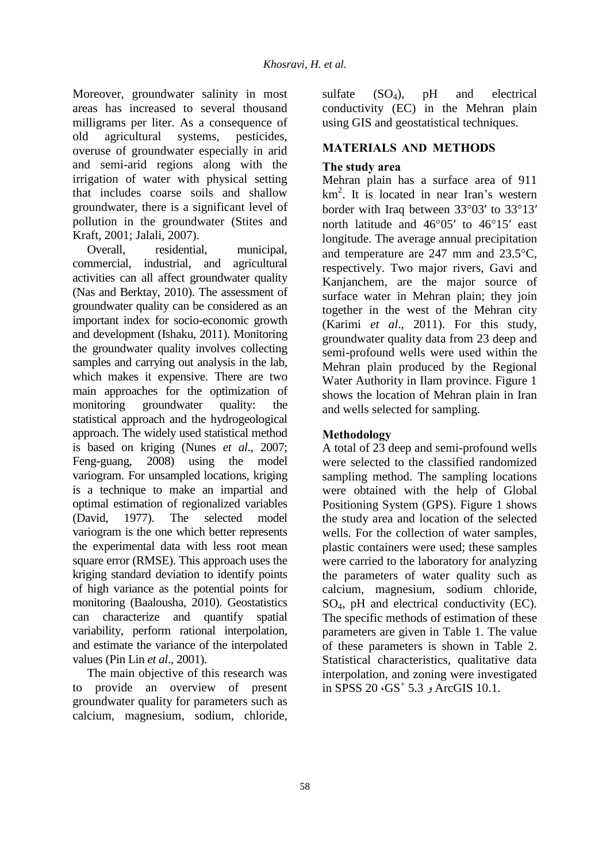Moreover, groundwater salinity in most areas has increased to several thousand milligrams per liter. As a consequence of old agricultural systems, pesticides, overuse of groundwater especially in arid and semi-arid regions along with the irrigation of water with physical setting that includes coarse soils and shallow groundwater, there is a significant level of pollution in the groundwater (Stites and Kraft, 2001; Jalali, 2007).

Overall, residential, municipal, commercial, industrial, and agricultural activities can all affect groundwater quality (Nas and Berktay, 2010). The assessment of groundwater quality can be considered as an important index for socio-economic growth and development (Ishaku, 2011). Monitoring the groundwater quality involves collecting samples and carrying out analysis in the lab, which makes it expensive. There are two main approaches for the optimization of monitoring groundwater quality: the statistical approach and the hydrogeological approach. The widely used statistical method is based on kriging (Nunes *et al*., 2007; Feng-guang, 2008) using the model variogram. For unsampled locations, kriging is a technique to make an impartial and optimal estimation of regionalized variables (David, 1977). The selected model variogram is the one which better represents the experimental data with less root mean square error (RMSE). This approach uses the kriging standard deviation to identify points of high variance as the potential points for monitoring (Baalousha, 2010). Geostatistics can characterize and quantify spatial variability, perform rational interpolation, and estimate the variance of the interpolated values (Pin Lin *et al*., 2001).

The main objective of this research was to provide an overview of present groundwater quality for parameters such as calcium, magnesium, sodium, chloride,

sulfate  $(SO_4)$ , pH and electrical conductivity (EC) in the Mehran plain using GIS and geostatistical techniques.

# **MATERIALS AND METHODS**

## **The study area**

Mehran plain has a surface area of 911 km<sup>2</sup> . It is located in near Iran's western border with Iraq between  $33^{\circ}03'$  to  $33^{\circ}13'$ north latitude and  $46^{\circ}05'$  to  $46^{\circ}15'$  east longitude. The average annual precipitation and temperature are  $247$  mm and  $23.5^{\circ}$ C, respectively. Two major rivers, Gavi and Kanjanchem, are the major source of surface water in Mehran plain; they join together in the west of the Mehran city (Karimi *et al*., 2011). For this study, groundwater quality data from 23 deep and semi-profound wells were used within the Mehran plain produced by the Regional Water Authority in Ilam province. Figure 1 shows the location of Mehran plain in Iran and wells selected for sampling.

### **Methodology**

A total of 23 deep and semi-profound wells were selected to the classified randomized sampling method. The sampling locations were obtained with the help of Global Positioning System (GPS). Figure 1 shows the study area and location of the selected wells. For the collection of water samples, plastic containers were used; these samples were carried to the laboratory for analyzing the parameters of water quality such as calcium, magnesium, sodium chloride, SO4, pH and electrical conductivity (EC). The specific methods of estimation of these parameters are given in Table 1. The value of these parameters is shown in Table 2. Statistical characteristics, qualitative data interpolation, and zoning were investigated in SPSS 20 ،GS<sup>+</sup> 10.1. ArcGIS و 5.3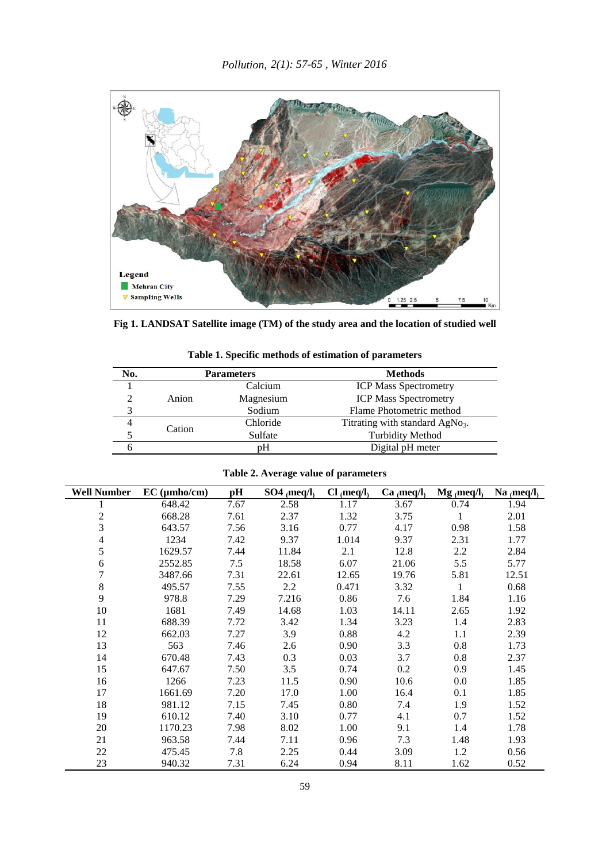

**Fig 1. LANDSAT Satellite image (TM) of the study area and the location of studied well**

| No. |        | <b>Parameters</b> | <b>Methods</b>                              |
|-----|--------|-------------------|---------------------------------------------|
|     |        | Calcium           | <b>ICP Mass Spectrometry</b>                |
|     | Anion  | Magnesium         | <b>ICP Mass Spectrometry</b>                |
| 3   |        | Sodium            | Flame Photometric method                    |
|     |        | Chloride          | Titrating with standard AgNo <sub>3</sub> . |
|     | Cation | Sulfate           | <b>Turbidity Method</b>                     |
|     |        | pΗ                | Digital pH meter                            |

**Table 1. Specific methods of estimation of parameters** 

|  |  |  | Table 2. Average value of parameters |
|--|--|--|--------------------------------------|
|--|--|--|--------------------------------------|

| <b>Well Number</b> | $EC$ ( $\mu$ mho/cm) | pН   | $SO4$ <sub>(meq/l)</sub> | $Cl$ (meq/l) | $Ca_{(meq/l)}$ | $Mg$ (meq/l) | Na $_{(meq/l)}$ |
|--------------------|----------------------|------|--------------------------|--------------|----------------|--------------|-----------------|
|                    | 648.42               | 7.67 | 2.58                     | 1.17         | 3.67           | 0.74         | 1.94            |
| $\overline{c}$     | 668.28               | 7.61 | 2.37                     | 1.32         | 3.75           | 1            | 2.01            |
| 3                  | 643.57               | 7.56 | 3.16                     | 0.77         | 4.17           | 0.98         | 1.58            |
| 4                  | 1234                 | 7.42 | 9.37                     | 1.014        | 9.37           | 2.31         | 1.77            |
| 5                  | 1629.57              | 7.44 | 11.84                    | 2.1          | 12.8           | 2.2          | 2.84            |
| 6                  | 2552.85              | 7.5  | 18.58                    | 6.07         | 21.06          | 5.5          | 5.77            |
| 7                  | 3487.66              | 7.31 | 22.61                    | 12.65        | 19.76          | 5.81         | 12.51           |
| 8                  | 495.57               | 7.55 | 2.2                      | 0.471        | 3.32           | 1            | 0.68            |
| 9                  | 978.8                | 7.29 | 7.216                    | 0.86         | 7.6            | 1.84         | 1.16            |
| 10                 | 1681                 | 7.49 | 14.68                    | 1.03         | 14.11          | 2.65         | 1.92            |
| 11                 | 688.39               | 7.72 | 3.42                     | 1.34         | 3.23           | 1.4          | 2.83            |
| 12                 | 662.03               | 7.27 | 3.9                      | 0.88         | 4.2            | 1.1          | 2.39            |
| 13                 | 563                  | 7.46 | 2.6                      | 0.90         | 3.3            | 0.8          | 1.73            |
| 14                 | 670.48               | 7.43 | 0.3                      | 0.03         | 3.7            | 0.8          | 2.37            |
| 15                 | 647.67               | 7.50 | 3.5                      | 0.74         | 0.2            | 0.9          | 1.45            |
| 16                 | 1266                 | 7.23 | 11.5                     | 0.90         | 10.6           | 0.0          | 1.85            |
| 17                 | 1661.69              | 7.20 | 17.0                     | 1.00         | 16.4           | 0.1          | 1.85            |
| 18                 | 981.12               | 7.15 | 7.45                     | 0.80         | 7.4            | 1.9          | 1.52            |
| 19                 | 610.12               | 7.40 | 3.10                     | 0.77         | 4.1            | 0.7          | 1.52            |
| 20                 | 1170.23              | 7.98 | 8.02                     | 1.00         | 9.1            | 1.4          | 1.78            |
| 21                 | 963.58               | 7.44 | 7.11                     | 0.96         | 7.3            | 1.48         | 1.93            |
| 22                 | 475.45               | 7.8  | 2.25                     | 0.44         | 3.09           | 1.2          | 0.56            |
| 23                 | 940.32               | 7.31 | 6.24                     | 0.94         | 8.11           | 1.62         | 0.52            |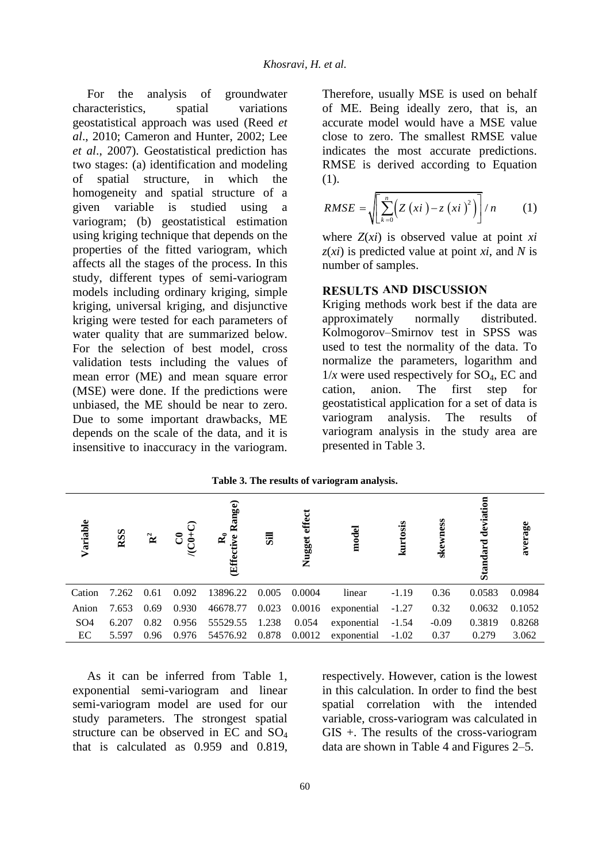For the analysis of groundwater aracteristics. spatial variations characteristics, spatial geostatistical approach was used (Reed *et al*., 2010; Cameron and Hunter, 2002; Lee *et al*., 2007). Geostatistical prediction has two stages: (a) identification and modeling of spatial structure, in which the homogeneity and spatial structure of a given variable is studied using a variogram; (b) geostatistical estimation using kriging technique that depends on the properties of the fitted variogram, which affects all the stages of the process. In this study, different types of semi-variogram models including ordinary kriging, simple kriging, universal kriging, and disjunctive kriging were tested for each parameters of water quality that are summarized below. For the selection of best model, cross validation tests including the values of mean error (ME) and mean square error (MSE) were done. If the predictions were unbiased, the ME should be near to zero. Due to some important drawbacks, ME depends on the scale of the data, and it is insensitive to inaccuracy in the variogram.

Therefore, usually MSE is used on behalf of ME. Being ideally zero, that is, an accurate model would have a MSE value close to zero. The smallest RMSE value indicates the most accurate predictions. RMSE is derived according to Equation (1).

$$
RMSE = \sqrt{\sum_{k=0}^{n} \left( Z\left(xi\right) - z\left(xi\right)^{2} \right)}/n
$$
 (1)

where *Z*(*xi*) is observed value at point *xi z*(*xi*) is predicted value at point *xi*, and *N* is number of samples.

### **RESULTS AND DISCUSSION**

Kriging methods work best if the data are approximately normally distributed. Kolmogorov–Smirnov test in SPSS was used to test the normality of the data. To normalize the parameters, logarithm and  $1/x$  were used respectively for SO<sub>4</sub>, EC and cation. anion. The first step for cation, anion. The first step for geostatistical application for a set of data is variogram analysis. The results of variogram analysis in the study area are presented in Table 3.

| Variable        | RSS   | $\mathbf{\hat{R}}^2$ | បីភ្ញុំ | Range)<br>๔<br>ive<br>tive<br><b>Effec</b> | $\overline{\mathbf{s}}$ | effect<br>Nugget | model       | kurtosis | skewness | deviati<br>dard<br>Stai | average |
|-----------------|-------|----------------------|---------|--------------------------------------------|-------------------------|------------------|-------------|----------|----------|-------------------------|---------|
| Cation          | 7.262 | 0.61                 | 0.092   | 13896.22                                   | 0.005                   | 0.0004           | linear      | $-1.19$  | 0.36     | 0.0583                  | 0.0984  |
| Anion           | 7.653 | 0.69                 | 0.930   | 46678.77                                   | 0.023                   | 0.0016           | exponential | $-1.27$  | 0.32     | 0.0632                  | 0.1052  |
| SO <sub>4</sub> | 6.207 | 0.82                 | 0.956   | 55529.55                                   | 1.238                   | 0.054            | exponential | $-1.54$  | $-0.09$  | 0.3819                  | 0.8268  |
| EC              | 5.597 | 0.96                 | 0.976   | 54576.92                                   | 0.878                   | 0.0012           | exponential | $-1.02$  | 0.37     | 0.279                   | 3.062   |

**Table 3. The results of variogram analysis.** 

As it can be inferred from Table 1, exponential semi-variogram and linear semi-variogram model are used for our study parameters. The strongest spatial structure can be observed in EC and SO<sup>4</sup> that is calculated as 0.959 and 0.819,

respectively. However, cation is the lowest in this calculation. In order to find the best spatial correlation with the intended variable, cross-variogram was calculated in GIS +. The results of the cross-variogram data are shown in Table 4 and Figures  $2-5$ .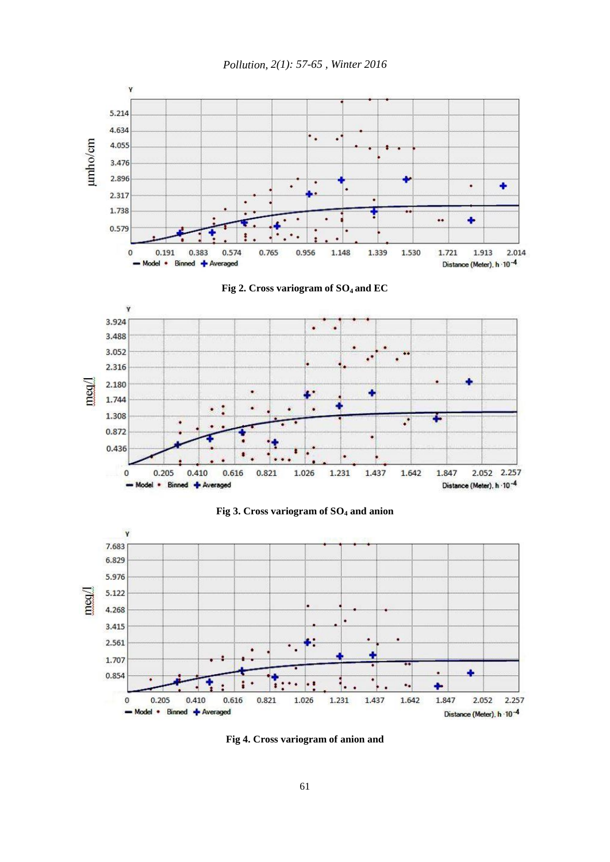











**Fig 4. Cross variogram of anion and**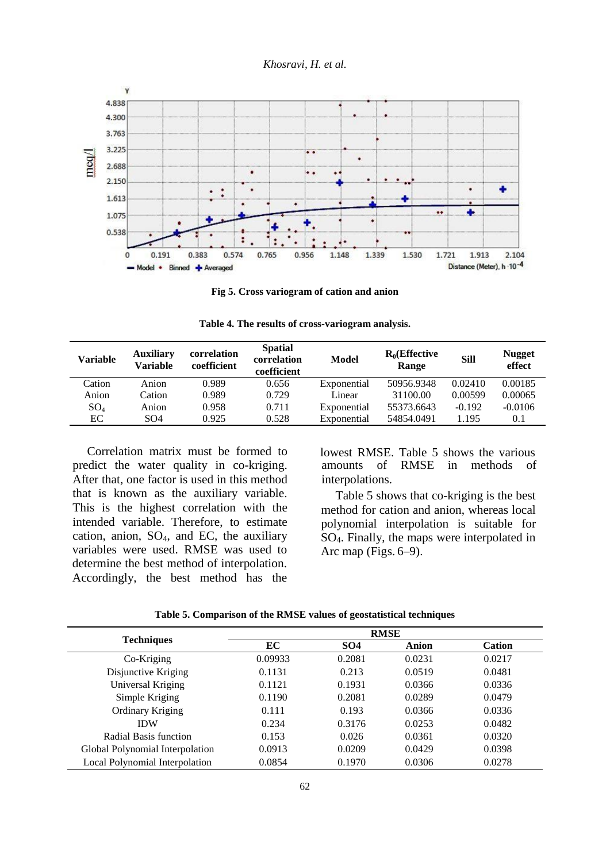*Khosravi, H. et al.* 



**Fig 5. Cross variogram of cation and anion** 

**Table 4. The results of cross-variogram analysis.** 

| Variable | <b>Auxiliary</b><br>Variable | correlation<br>coefficient | <b>Spatial</b><br>correlation<br>coefficient | Model       | $R_0$ (Effective<br>Range | <b>Sill</b> | <b>Nugget</b><br>effect |
|----------|------------------------------|----------------------------|----------------------------------------------|-------------|---------------------------|-------------|-------------------------|
| Cation   | Anion                        | 0.989                      | 0.656                                        | Exponential | 50956.9348                | 0.02410     | 0.00185                 |
| Anion    | Cation                       | 0.989                      | 0.729                                        | Linear      | 31100.00                  | 0.00599     | 0.00065                 |
| $SO_4$   | Anion                        | 0.958                      | 0.711                                        | Exponential | 55373.6643                | $-0.192$    | $-0.0106$               |
| EC       | SO <sub>4</sub>              | 0.925                      | 0.528                                        | Exponential | 54854.0491                | 1.195       | 0.1                     |

Correlation matrix must be formed to predict the water quality in co-kriging. After that, one factor is used in this method that is known as the auxiliary variable. This is the highest correlation with the intended variable. Therefore, to estimate cation, anion,  $SO_4$ , and EC, the auxiliary variables were used. RMSE was used to determine the best method of interpolation. Accordingly, the best method has the lowest RMSE. Table 5 shows the various amounts of RMSE in methods of interpolations.

Table 5 shows that co-kriging is the best method for cation and anion, whereas local polynomial interpolation is suitable for SO4. Finally, the maps were interpolated in Arc map (Figs.  $6-9$ ).

|                                 | <b>RMSE</b> |                 |              |               |  |  |  |
|---------------------------------|-------------|-----------------|--------------|---------------|--|--|--|
| <b>Techniques</b>               | EC          | SO <sub>4</sub> | <b>Anion</b> | <b>Cation</b> |  |  |  |
| Co-Kriging                      | 0.09933     | 0.2081          | 0.0231       | 0.0217        |  |  |  |
| Disjunctive Kriging             | 0.1131      | 0.213           | 0.0519       | 0.0481        |  |  |  |
| Universal Kriging               | 0.1121      | 0.1931          | 0.0366       | 0.0336        |  |  |  |
| Simple Kriging                  | 0.1190      | 0.2081          | 0.0289       | 0.0479        |  |  |  |
| Ordinary Kriging                | 0.111       | 0.193           | 0.0366       | 0.0336        |  |  |  |
| <b>IDW</b>                      | 0.234       | 0.3176          | 0.0253       | 0.0482        |  |  |  |
| Radial Basis function           | 0.153       | 0.026           | 0.0361       | 0.0320        |  |  |  |
| Global Polynomial Interpolation | 0.0913      | 0.0209          | 0.0429       | 0.0398        |  |  |  |
| Local Polynomial Interpolation  | 0.0854      | 0.1970          | 0.0306       | 0.0278        |  |  |  |

**Table 5. Comparison of the RMSE values of geostatistical techniques**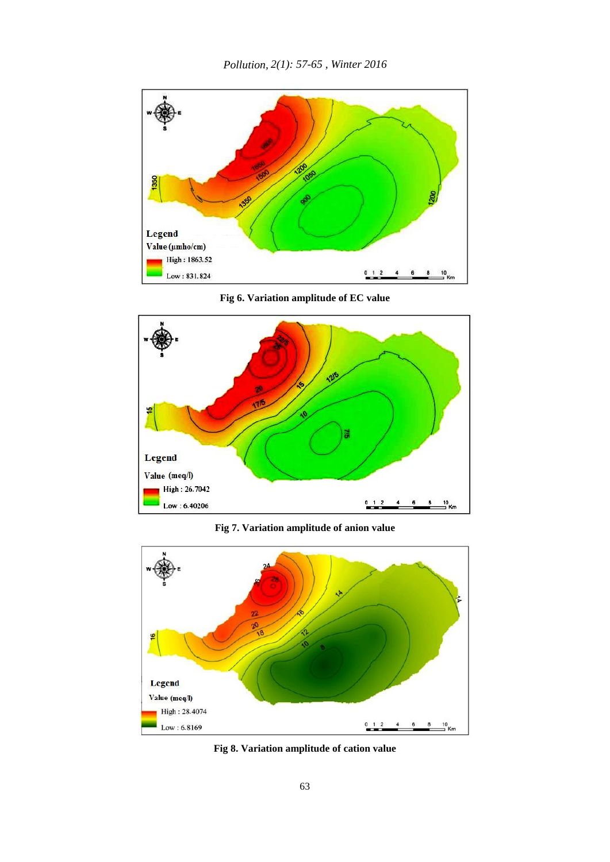

**Fig 6. Variation amplitude of EC value** 



**Fig 7. Variation amplitude of anion value** 



**Fig 8. Variation amplitude of cation value**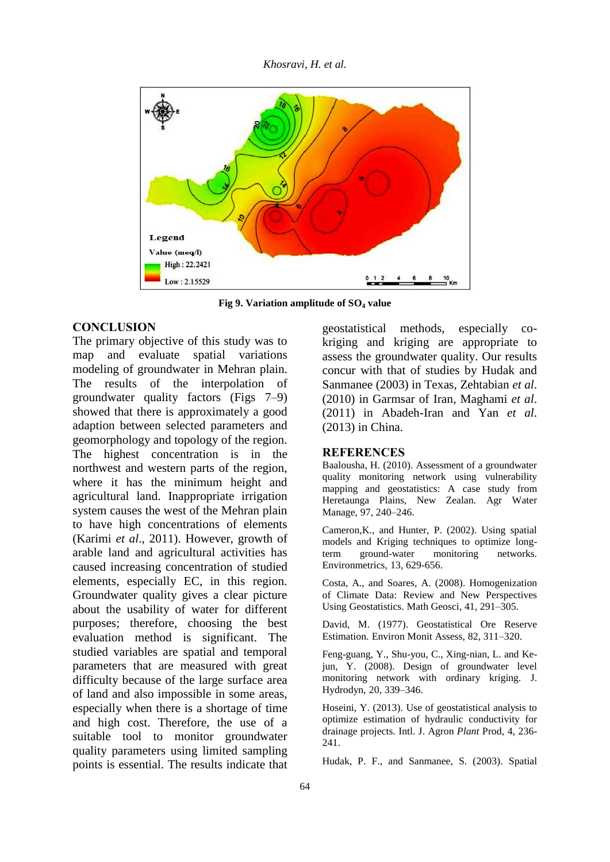*Khosravi, H. et al.*



**Fig 9. Variation amplitude of SO<sup>4</sup> value**

#### **CONCLUSION**

The primary objective of this study was to map and evaluate spatial variations modeling of groundwater in Mehran plain. The results of the interpolation of groundwater quality factors (Figs 7–9) showed that there is approximately a good adaption between selected parameters and geomorphology and topology of the region. The highest concentration is in the northwest and western parts of the region, where it has the minimum height and agricultural land. Inappropriate irrigation system causes the west of the Mehran plain to have high concentrations of elements (Karimi *et al*., 2011). However, growth of arable land and agricultural activities has caused increasing concentration of studied elements, especially EC, in this region. Groundwater quality gives a clear picture about the usability of water for different purposes; therefore, choosing the best evaluation method is significant. The studied variables are spatial and temporal parameters that are measured with great difficulty because of the large surface area of land and also impossible in some areas, especially when there is a shortage of time and high cost. Therefore, the use of a suitable tool to monitor groundwater quality parameters using limited sampling points is essential. The results indicate that

geostatistical methods, especially cokriging and kriging are appropriate to assess the groundwater quality. Our results concur with that of studies by Hudak and Sanmanee (2003) in Texas, Zehtabian *et al*. (2010) in Garmsar of Iran, Maghami *et al*. (2011) in Abadeh-Iran and Yan *et al*. (2013) in China.

#### **REFERENCES**

Baalousha, H. (2010). Assessment of a groundwater quality monitoring network using vulnerability mapping and geostatistics: A case study from Heretaunga Plains, New Zealan. Agr Water Manage, 97, 240–246.

Cameron,K., and Hunter, P. (2002). Using spatial models and Kriging techniques to optimize longterm ground-water monitoring networks. Environmetrics, 13, 629-656.

Costa, A., and Soares, A. (2008). Homogenization of Climate Data: Review and New Perspectives Using Geostatistics. Math Geosci, 41, 291–305.

David, M. (1977). Geostatistical Ore Reserve Estimation. Environ Monit Assess, 82, 311–320.

Feng-guang, Y., Shu-you, C., Xing-nian, L. and Kejun, Y. (2008). Design of groundwater level monitoring network with ordinary kriging. J. Hydrodyn, 20, 339–346.

Hoseini, Y. (2013). Use of geostatistical analysis to optimize estimation of hydraulic conductivity for drainage projects. Intl. J. Agron *Plant* Prod, 4, 236- 241.

Hudak, P. F., and Sanmanee, S. (2003). Spatial